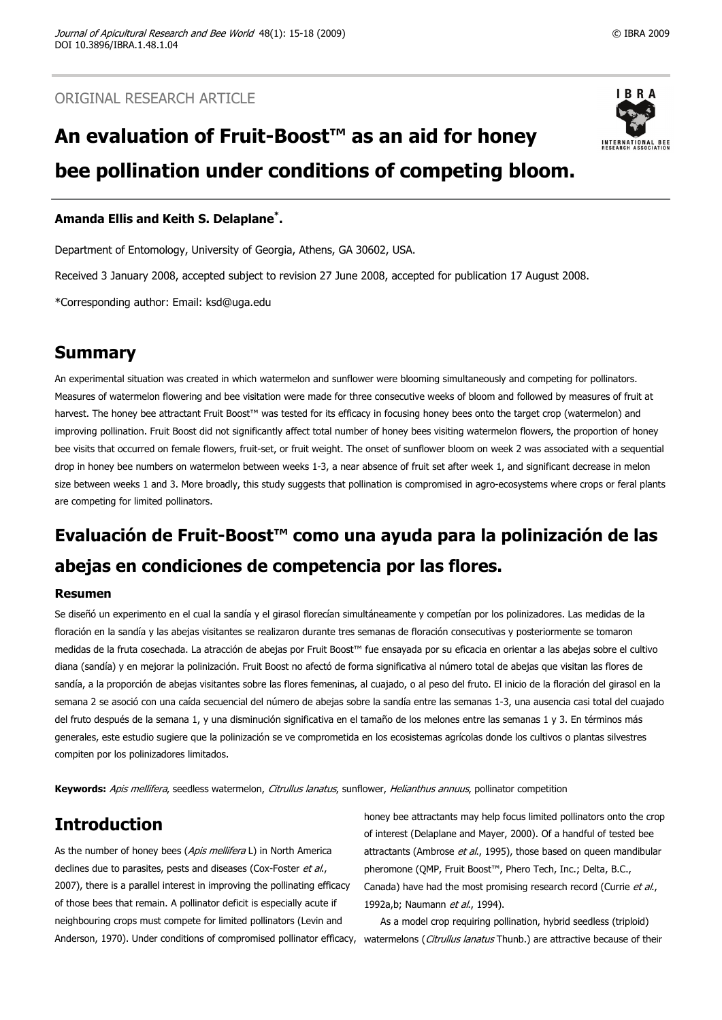# **An evaluation of Fruit-Boost™ as an aid for honey bee pollination under conditions of competing bloom.**



### **Amanda Ellis and Keith S. Delaplane\* .**

Department of Entomology, University of Georgia, Athens, GA 30602, USA.

Received 3 January 2008, accepted subject to revision 27 June 2008, accepted for publication 17 August 2008.

\*Corresponding author: Email: ksd@uga.edu

# **Summary**

An experimental situation was created in which watermelon and sunflower were blooming simultaneously and competing for pollinators. Measures of watermelon flowering and bee visitation were made for three consecutive weeks of bloom and followed by measures of fruit at harvest. The honey bee attractant Fruit Boost™ was tested for its efficacy in focusing honey bees onto the target crop (watermelon) and improving pollination. Fruit Boost did not significantly affect total number of honey bees visiting watermelon flowers, the proportion of honey bee visits that occurred on female flowers, fruit-set, or fruit weight. The onset of sunflower bloom on week 2 was associated with a sequential drop in honey bee numbers on watermelon between weeks 1-3, a near absence of fruit set after week 1, and significant decrease in melon size between weeks 1 and 3. More broadly, this study suggests that pollination is compromised in agro-ecosystems where crops or feral plants are competing for limited pollinators.

# **Evaluación de Fruit-Boost™ como una ayuda para la polinización de las abejas en condiciones de competencia por las flores.**

### **Resumen**

Se diseñó un experimento en el cual la sandía y el girasol florecían simultáneamente y competían por los polinizadores. Las medidas de la floración en la sandía y las abejas visitantes se realizaron durante tres semanas de floración consecutivas y posteriormente se tomaron medidas de la fruta cosechada. La atracción de abejas por Fruit Boost™ fue ensayada por su eficacia en orientar a las abejas sobre el cultivo diana (sandía) y en mejorar la polinización. Fruit Boost no afectó de forma significativa al número total de abejas que visitan las flores de sandía, a la proporción de abejas visitantes sobre las flores femeninas, al cuajado, o al peso del fruto. El inicio de la floración del girasol en la semana 2 se asoció con una caída secuencial del número de abejas sobre la sandía entre las semanas 1-3, una ausencia casi total del cuajado del fruto después de la semana 1, y una disminución significativa en el tamaño de los melones entre las semanas 1 y 3. En términos más generales, este estudio sugiere que la polinización se ve comprometida en los ecosistemas agrícolas donde los cultivos o plantas silvestres compiten por los polinizadores limitados.

**Keywords:** Apis mellifera, seedless watermelon, Citrullus lanatus, sunflower, Helianthus annuus, pollinator competition

# **Introduction**

As the number of honey bees (Apis mellifera L) in North America declines due to parasites, pests and diseases (Cox-Foster et al., 2007), there is a parallel interest in improving the pollinating efficacy of those bees that remain. A pollinator deficit is especially acute if neighbouring crops must compete for limited pollinators (Levin and Anderson, 1970). Under conditions of compromised pollinator efficacy, watermelons (Citrullus lanatus Thunb.) are attractive because of their

honey bee attractants may help focus limited pollinators onto the crop of interest (Delaplane and Mayer, 2000). Of a handful of tested bee attractants (Ambrose et al., 1995), those based on queen mandibular pheromone (QMP, Fruit Boost™, Phero Tech, Inc.; Delta, B.C., Canada) have had the most promising research record (Currie et al., 1992a,b; Naumann et al., 1994).

As a model crop requiring pollination, hybrid seedless (triploid)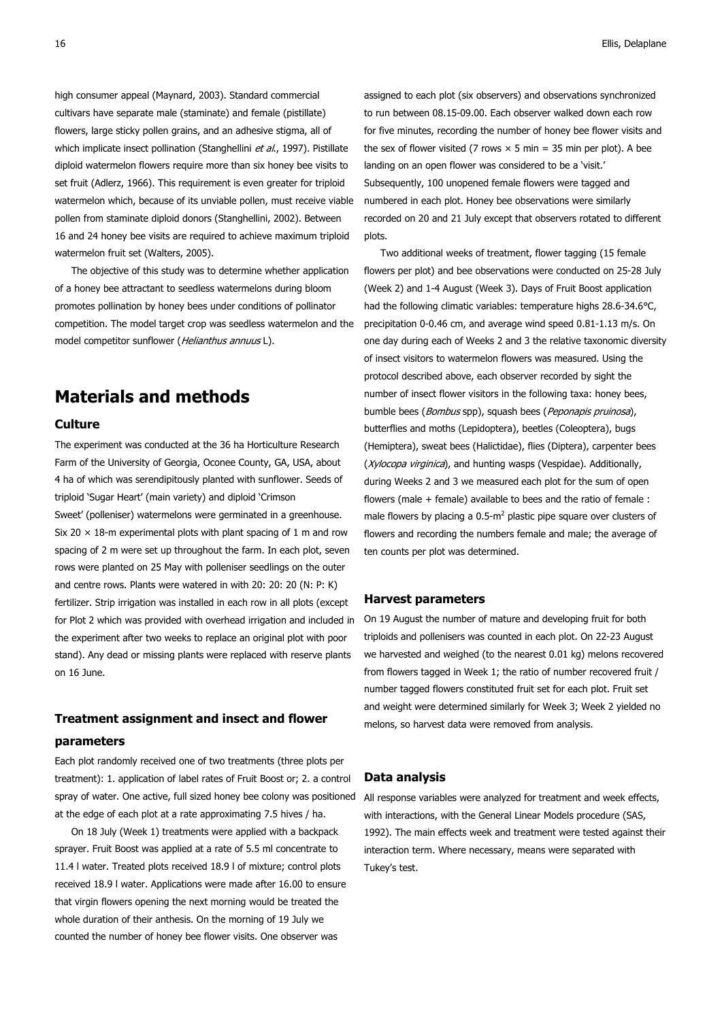high consumer appeal (Maynard, 2003). Standard commercial cultivars have separate male (staminate) and female (pistillate) flowers, large sticky pollen grains, and an adhesive stigma, all of which implicate insect pollination (Stanghellini et al., 1997). Pistillate diploid watermelon flowers require more than six honey bee visits to set fruit (Adlerz, 1966). This requirement is even greater for triploid watermelon which, because of its unviable pollen, must receive viable pollen from staminate diploid donors (Stanghellini, 2002). Between 16 and 24 honey bee visits are required to achieve maximum triploid watermelon fruit set (Walters, 2005).

The objective of this study was to determine whether application of a honey bee attractant to seedless watermelons during bloom promotes pollination by honey bees under conditions of pollinator competition. The model target crop was seedless watermelon and the model competitor sunflower (Helianthus annuus L).

# **Materials and methods**

### **Culture**

The experiment was conducted at the 36 ha Horticulture Research Farm of the University of Georgia, Oconee County, GA, USA, about 4 ha of which was serendipitously planted with sunflower. Seeds of triploid 'Sugar Heart' (main variety) and diploid 'Crimson Sweet' (polleniser) watermelons were germinated in a greenhouse. Six 20  $\times$  18-m experimental plots with plant spacing of 1 m and row spacing of 2 m were set up throughout the farm. In each plot, seven rows were planted on 25 May with polleniser seedlings on the outer and centre rows. Plants were watered in with 20: 20: 20 (N: P: K) fertilizer. Strip irrigation was installed in each row in all plots (except for Plot 2 which was provided with overhead irrigation and included in the experiment after two weeks to replace an original plot with poor stand). Any dead or missing plants were replaced with reserve plants on 16 June.

### **Treatment assignment and insect and flower**

#### **parameters**

Each plot randomly received one of two treatments (three plots per treatment): 1. application of label rates of Fruit Boost or; 2. a control spray of water. One active, full sized honey bee colony was positioned at the edge of each plot at a rate approximating 7.5 hives / ha.

On 18 July (Week 1) treatments were applied with a backpack sprayer. Fruit Boost was applied at a rate of 5.5 ml concentrate to 11.4 l water. Treated plots received 18.9 l of mixture; control plots received 18.9 l water. Applications were made after 16.00 to ensure that virgin flowers opening the next morning would be treated the whole duration of their anthesis. On the morning of 19 July we counted the number of honey bee flower visits. One observer was

assigned to each plot (six observers) and observations synchronized to run between 08.15-09.00. Each observer walked down each row for five minutes, recording the number of honey bee flower visits and the sex of flower visited (7 rows  $\times$  5 min = 35 min per plot). A bee landing on an open flower was considered to be a 'visit.' Subsequently, 100 unopened female flowers were tagged and numbered in each plot. Honey bee observations were similarly recorded on 20 and 21 July except that observers rotated to different plots.

Two additional weeks of treatment, flower tagging (15 female flowers per plot) and bee observations were conducted on 25-28 July (Week 2) and 1-4 August (Week 3). Days of Fruit Boost application had the following climatic variables: temperature highs 28.6-34.6°C, precipitation 0-0.46 cm, and average wind speed 0.81-1.13 m/s. On one day during each of Weeks 2 and 3 the relative taxonomic diversity of insect visitors to watermelon flowers was measured. Using the protocol described above, each observer recorded by sight the number of insect flower visitors in the following taxa: honey bees, bumble bees (*Bombus* spp), squash bees (*Peponapis pruinosa*), butterflies and moths (Lepidoptera), beetles (Coleoptera), bugs (Hemiptera), sweat bees (Halictidae), flies (Diptera), carpenter bees (Xylocopa virginica), and hunting wasps (Vespidae). Additionally, during Weeks 2 and 3 we measured each plot for the sum of open flowers (male  $+$  female) available to bees and the ratio of female : male flowers by placing a  $0.5 \text{-} m^2$  plastic pipe square over clusters of flowers and recording the numbers female and male; the average of ten counts per plot was determined.

#### **Harvest parameters**

On 19 August the number of mature and developing fruit for both triploids and pollenisers was counted in each plot. On 22-23 August we harvested and weighed (to the nearest 0.01 kg) melons recovered from flowers tagged in Week 1; the ratio of number recovered fruit / number tagged flowers constituted fruit set for each plot. Fruit set and weight were determined similarly for Week 3; Week 2 yielded no melons, so harvest data were removed from analysis.

#### **Data analysis**

All response variables were analyzed for treatment and week effects, with interactions, with the General Linear Models procedure (SAS, 1992). The main effects week and treatment were tested against their interaction term. Where necessary, means were separated with Tukey's test.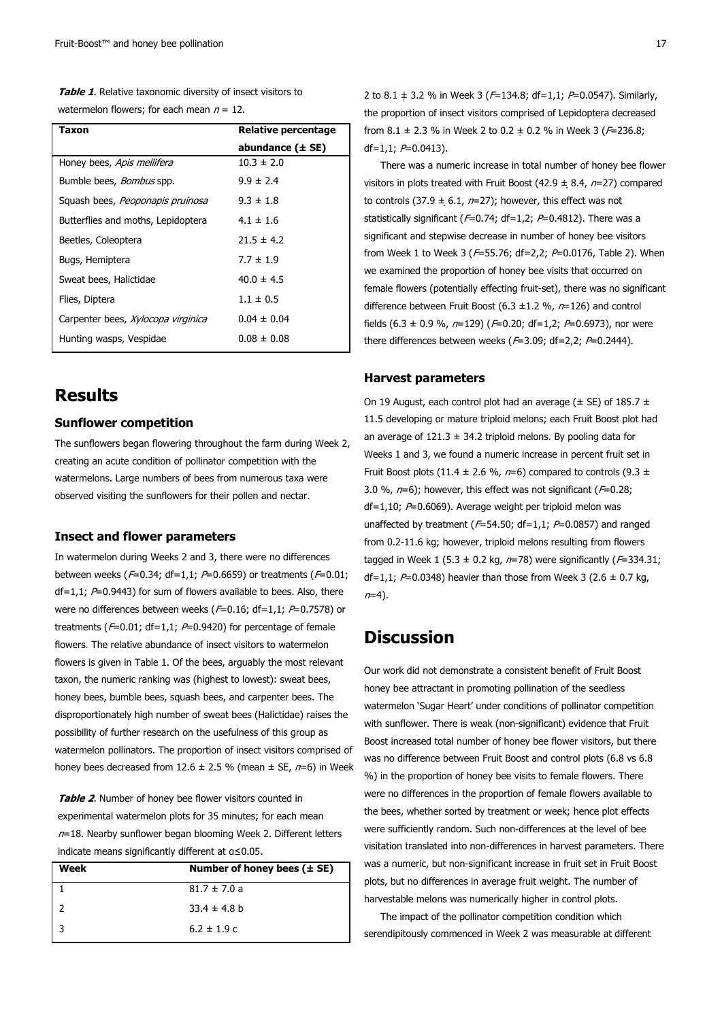**Table 1**. Relative taxonomic diversity of insect visitors to watermelon flowers; for each mean  $n = 12$ .

| Taxon                              | Relative percentage  |
|------------------------------------|----------------------|
|                                    | abundance $(\pm$ SE) |
| Honey bees, Apis mellifera         | $10.3 \pm 2.0$       |
| Bumble bees, <i>Bombus</i> spp.    | $9.9 \pm 2.4$        |
| Squash bees, Peoponapis pruinosa   | $9.3 \pm 1.8$        |
| Butterflies and moths, Lepidoptera | $4.1 \pm 1.6$        |
| Beetles, Coleoptera                | $71.5 \pm 4.2$       |
| Bugs, Hemiptera                    | $7.7 \pm 1.9$        |
| Sweat bees, Halictidae             | $40.0 \pm 4.5$       |
| Flies, Diptera                     | $1.1 \pm 0.5$        |
| Carpenter bees, Xylocopa virginica | $0.04 \pm 0.04$      |
| Hunting wasps, Vespidae            | $0.08 \pm 0.08$      |

# **Results**

#### **Sunflower competition**

The sunflowers began flowering throughout the farm during Week 2, creating an acute condition of pollinator competition with the watermelons. Large numbers of bees from numerous taxa were observed visiting the sunflowers for their pollen and nectar.

### **Insect and flower parameters**

In watermelon during Weeks 2 and 3, there were no differences between weeks ( $F=0.34$ ; df=1,1;  $P=0.6659$ ) or treatments ( $F=0.01$ ;  $df=1.1$ :  $P=0.9443$ ) for sum of flowers available to bees. Also, there were no differences between weeks ( $F=0.16$ ; df=1,1;  $P=0.7578$ ) or treatments ( $F=0.01$ ; df=1,1;  $P=0.9420$ ) for percentage of female flowers. The relative abundance of insect visitors to watermelon flowers is given in Table 1. Of the bees, arguably the most relevant taxon, the numeric ranking was (highest to lowest): sweat bees, honey bees, bumble bees, squash bees, and carpenter bees. The disproportionately high number of sweat bees (Halictidae) raises the possibility of further research on the usefulness of this group as watermelon pollinators. The proportion of insect visitors comprised of honey bees decreased from 12.6  $\pm$  2.5 % (mean  $\pm$  SE,  $n=6$ ) in Week

**Table 2**. Number of honey bee flower visitors counted in experimental watermelon plots for 35 minutes; for each mean  $n=18$ . Nearby sunflower began blooming Week 2. Different letters indicate means significantly different at α≤0.05.

| Week | Number of honey bees $(\pm SE)$ |
|------|---------------------------------|
|      | $81.7 \pm 7.0 a$                |
|      | $33.4 \pm 4.8$ b                |
| l 3  | $6.2 \pm 1.9$ c                 |

2 to 8.1  $\pm$  3.2 % in Week 3 ( $F=134.8$ ; df=1,1;  $P=0.0547$ ). Similarly, the proportion of insect visitors comprised of Lepidoptera decreased from 8.1  $\pm$  2.3 % in Week 2 to 0.2  $\pm$  0.2 % in Week 3 ( $F=$ 236.8; df=1,1;  $P=0.0413$ ).

There was a numeric increase in total number of honey bee flower visitors in plots treated with Fruit Boost (42.9  $\pm$  8.4, n=27) compared to controls (37.9  $\pm$  6.1, n=27); however, this effect was not statistically significant ( $F=0.74$ ; df=1,2;  $P=0.4812$ ). There was a significant and stepwise decrease in number of honey bee visitors from Week 1 to Week 3 ( $F=55.76$ ; df=2,2;  $P=0.0176$ , Table 2). When we examined the proportion of honey bee visits that occurred on female flowers (potentially effecting fruit-set), there was no significant difference between Fruit Boost (6.3  $\pm$ 1.2 %, n=126) and control fields (6.3  $\pm$  0.9 %, n=129) (F=0.20; df=1,2; P=0.6973), nor were there differences between weeks ( $F=3.09$ ; df=2,2;  $P=0.2444$ ).

#### **Harvest parameters**

On 19 August, each control plot had an average ( $\pm$  SE) of 185.7  $\pm$ 11.5 developing or mature triploid melons; each Fruit Boost plot had an average of  $121.3 \pm 34.2$  triploid melons. By pooling data for Weeks 1 and 3, we found a numeric increase in percent fruit set in Fruit Boost plots (11.4  $\pm$  2.6 %, n=6) compared to controls (9.3  $\pm$ 3.0 %,  $n=6$ ); however, this effect was not significant ( $F=0.28$ ; df=1,10;  $P=0.6069$ ). Average weight per triploid melon was unaffected by treatment ( $F=54.50$ ; df=1,1;  $P=0.0857$ ) and ranged from 0.2-11.6 kg; however, triploid melons resulting from flowers tagged in Week 1 (5.3  $\pm$  0.2 kg, n=78) were significantly ( $F=334.31$ ; df=1,1;  $P=0.0348$ ) heavier than those from Week 3 (2.6  $\pm$  0.7 kg,  $n=4$ ).

# **Discussion**

Our work did not demonstrate a consistent benefit of Fruit Boost honey bee attractant in promoting pollination of the seedless watermelon 'Sugar Heart' under conditions of pollinator competition with sunflower. There is weak (non-significant) evidence that Fruit Boost increased total number of honey bee flower visitors, but there was no difference between Fruit Boost and control plots (6.8 vs 6.8 %) in the proportion of honey bee visits to female flowers. There were no differences in the proportion of female flowers available to the bees, whether sorted by treatment or week; hence plot effects were sufficiently random. Such non-differences at the level of bee visitation translated into non-differences in harvest parameters. There was a numeric, but non-significant increase in fruit set in Fruit Boost plots, but no differences in average fruit weight. The number of harvestable melons was numerically higher in control plots.

The impact of the pollinator competition condition which serendipitously commenced in Week 2 was measurable at different